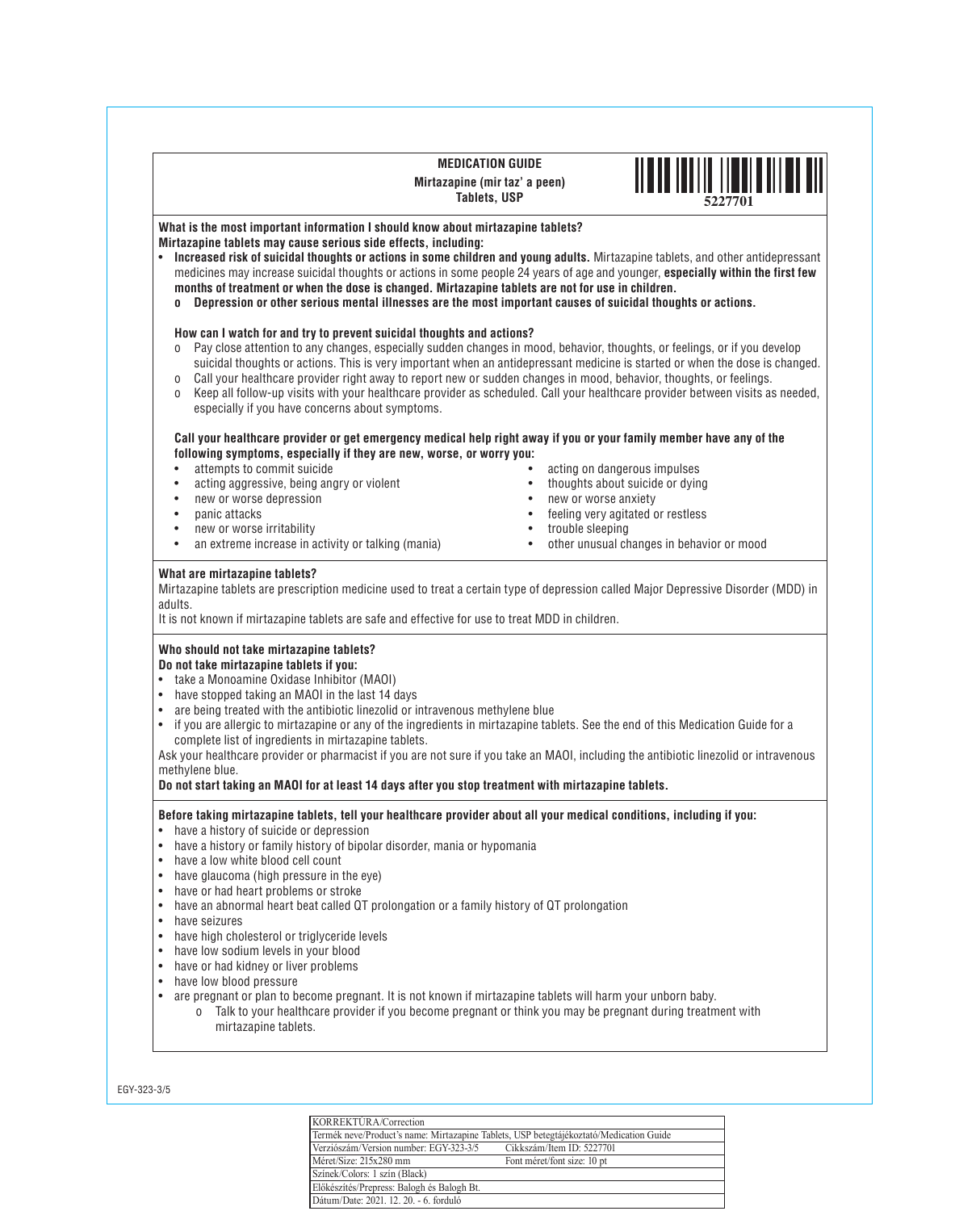#### **MEDICATION GUIDE Mirtazapine (mir taz' a peen) Tablets, USP**



# **What is the most important information I should know about mirtazapine tablets? Mirtazapine tablets may cause serious side effects, including:**

- • **Increased risk of suicidal thoughts or actions in some children and young adults.** Mirtazapine tablets, and other antidepressant medicines may increase suicidal thoughts or actions in some people 24 years of age and younger, **especially within the first few months of treatment or when the dose is changed. Mirtazapine tablets are not for use in children.** 
	- **o Depression or other serious mental illnesses are the most important causes of suicidal thoughts or actions.**

# **How can I watch for and try to prevent suicidal thoughts and actions?**

- o Pay close attention to any changes, especially sudden changes in mood, behavior, thoughts, or feelings, or if you develop suicidal thoughts or actions. This is very important when an antidepressant medicine is started or when the dose is changed.
- o Call your healthcare provider right away to report new or sudden changes in mood, behavior, thoughts, or feelings.
- o Keep all follow-up visits with your healthcare provider as scheduled. Call your healthcare provider between visits as needed, especially if you have concerns about symptoms.

#### **Call your healthcare provider or get emergency medical help right away if you or your family member have any of the following symptoms, especially if they are new, worse, or worry you:**

- • attempts to commit suicide
- acting aggressive, being angry or violent
- new or worse depression
- panic attacks
- new or worse irritability
- an extreme increase in activity or talking (mania)
- acting on dangerous impulses
- thoughts about suicide or dying
- new or worse anxiety
- feeling very agitated or restless
- trouble sleeping
- • other unusual changes in behavior or mood

# **What are mirtazapine tablets?**

Mirtazapine tablets are prescription medicine used to treat a certain type of depression called Major Depressive Disorder (MDD) in adults.

It is not known if mirtazapine tablets are safe and effective for use to treat MDD in children.

# **Who should not take mirtazapine tablets?**

# **Do not take mirtazapine tablets if you:**

- take a Monoamine Oxidase Inhibitor (MAOI)<br>• have stopped taking an MAOI in the last 14 o
- have stopped taking an MAOI in the last 14 days<br>• are being treated with the antibiotic linezolid or i
- are being treated with the antibiotic linezolid or intravenous methylene blue<br>• if you are allergic to mirtazapine or any of the ingredients in mirtazapine tab
- if you are allergic to mirtazapine or any of the ingredients in mirtazapine tablets. See the end of this Medication Guide for a complete list of ingredients in mirtazapine tablets.

Ask your healthcare provider or pharmacist if you are not sure if you take an MAOI, including the antibiotic linezolid or intravenous methylene blue.

# **Do not start taking an MAOI for at least 14 days after you stop treatment with mirtazapine tablets.**

#### **Before taking mirtazapine tablets, tell your healthcare provider about all your medical conditions, including if you:**

- have a history of suicide or depression<br>• have a history or family history of hinol
- have a history or family history of bipolar disorder, mania or hypomania<br>• have a low white blood cell count
- have a low white blood cell count<br>• have glaucoma (high pressure in )
- have glaucoma (high pressure in the eye)
- have or had heart problems or stroke<br>• have an abnormal heart heat called O
- have an abnormal heart beat called QT prolongation or a family history of QT prolongation<br>• have seizures
- have seizures
- have high cholesterol or triglyceride levels
- have low sodium levels in your blood<br>• have or had kidney or liver problems
- have or had kidney or liver problems
- have low blood pressure
- • are pregnant or plan to become pregnant. It is not known if mirtazapine tablets will harm your unborn baby.
	- o Talk to your healthcare provider if you become pregnant or think you may be pregnant during treatment with mirtazapine tablets.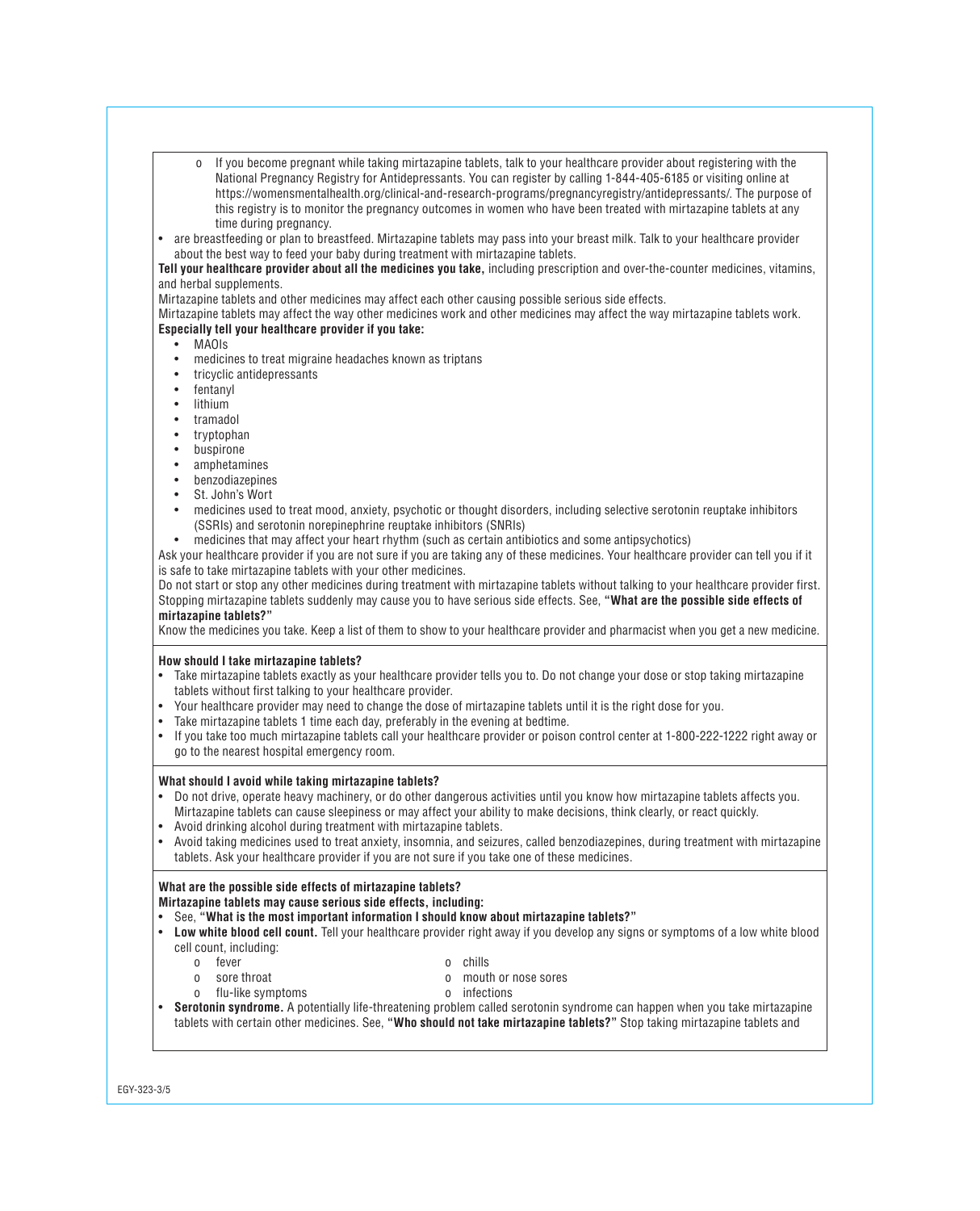- o If you become pregnant while taking mirtazapine tablets, talk to your healthcare provider about registering with the National Pregnancy Registry for Antidepressants. You can register by calling 1-844-405-6185 or visiting online at https://womensmentalhealth.org/clinical-and-research-programs/pregnancyregistry/antidepressants/. The purpose of this registry is to monitor the pregnancy outcomes in women who have been treated with mirtazapine tablets at any time during pregnancy.
- • are breastfeeding or plan to breastfeed. Mirtazapine tablets may pass into your breast milk. Talk to your healthcare provider about the best way to feed your baby during treatment with mirtazapine tablets.

**Tell your healthcare provider about all the medicines you take,** including prescription and over-the-counter medicines, vitamins, and herbal supplements.

Mirtazapine tablets and other medicines may affect each other causing possible serious side effects.

Mirtazapine tablets may affect the way other medicines work and other medicines may affect the way mirtazapine tablets work.

# **Especially tell your healthcare provider if you take:**

- • MAOIs
- medicines to treat migraine headaches known as triptans
- • tricyclic antidepressants
- fentanyl
- lithium
- • tramadol
- • tryptophan
- • buspirone
- • amphetamines
- • benzodiazepines
- St. John's Wort<br>• medicines used
- medicines used to treat mood, anxiety, psychotic or thought disorders, including selective serotonin reuptake inhibitors (SSRIs) and serotonin norepinephrine reuptake inhibitors (SNRIs)
- medicines that may affect your heart rhythm (such as certain antibiotics and some antipsychotics)

Ask your healthcare provider if you are not sure if you are taking any of these medicines. Your healthcare provider can tell you if it is safe to take mirtazapine tablets with your other medicines.

Do not start or stop any other medicines during treatment with mirtazapine tablets without talking to your healthcare provider first. Stopping mirtazapine tablets suddenly may cause you to have serious side effects. See, **"What are the possible side effects of mirtazapine tablets?"**

Know the medicines you take. Keep a list of them to show to your healthcare provider and pharmacist when you get a new medicine.

# **How should I take mirtazapine tablets?**

- • Take mirtazapine tablets exactly as your healthcare provider tells you to. Do not change your dose or stop taking mirtazapine tablets without first talking to your healthcare provider.
- Your healthcare provider may need to change the dose of mirtazapine tablets until it is the right dose for you.<br>• Take mirtazapine tablets 1 time each day preferably in the evening at bedtime
- Take mirtazapine tablets 1 time each day, preferably in the evening at bedtime.<br>• If you take too much mirtazapine tablets call your healthcare provider or poisor
- If you take too much mirtazapine tablets call your healthcare provider or poison control center at 1-800-222-1222 right away or go to the nearest hospital emergency room.

#### **What should I avoid while taking mirtazapine tablets?**

- • Do not drive, operate heavy machinery, or do other dangerous activities until you know how mirtazapine tablets affects you. Mirtazapine tablets can cause sleepiness or may affect your ability to make decisions, think clearly, or react quickly.
- Avoid drinking alcohol during treatment with mirtazapine tablets.<br>• Avoid taking medicines used to treat anxiety, insomnia, and seizu
- Avoid taking medicines used to treat anxiety, insomnia, and seizures, called benzodiazepines, during treatment with mirtazapine tablets. Ask your healthcare provider if you are not sure if you take one of these medicines.

# **What are the possible side effects of mirtazapine tablets?**

**Mirtazapine tablets may cause serious side effects, including:** 

- • See, **"What is the most important information I should know about mirtazapine tablets?"**
- **Low white blood cell count.** Tell your healthcare provider right away if you develop any signs or symptoms of a low white blood cell count, including:
	- o fever
	- o sore throat

o chills o mouth or nose sores

o flu-like symptoms

- o infections
- • **Serotonin syndrome.** A potentially life-threatening problem called serotonin syndrome can happen when you take mirtazapine tablets with certain other medicines. See, **"Who should not take mirtazapine tablets?"** Stop taking mirtazapine tablets and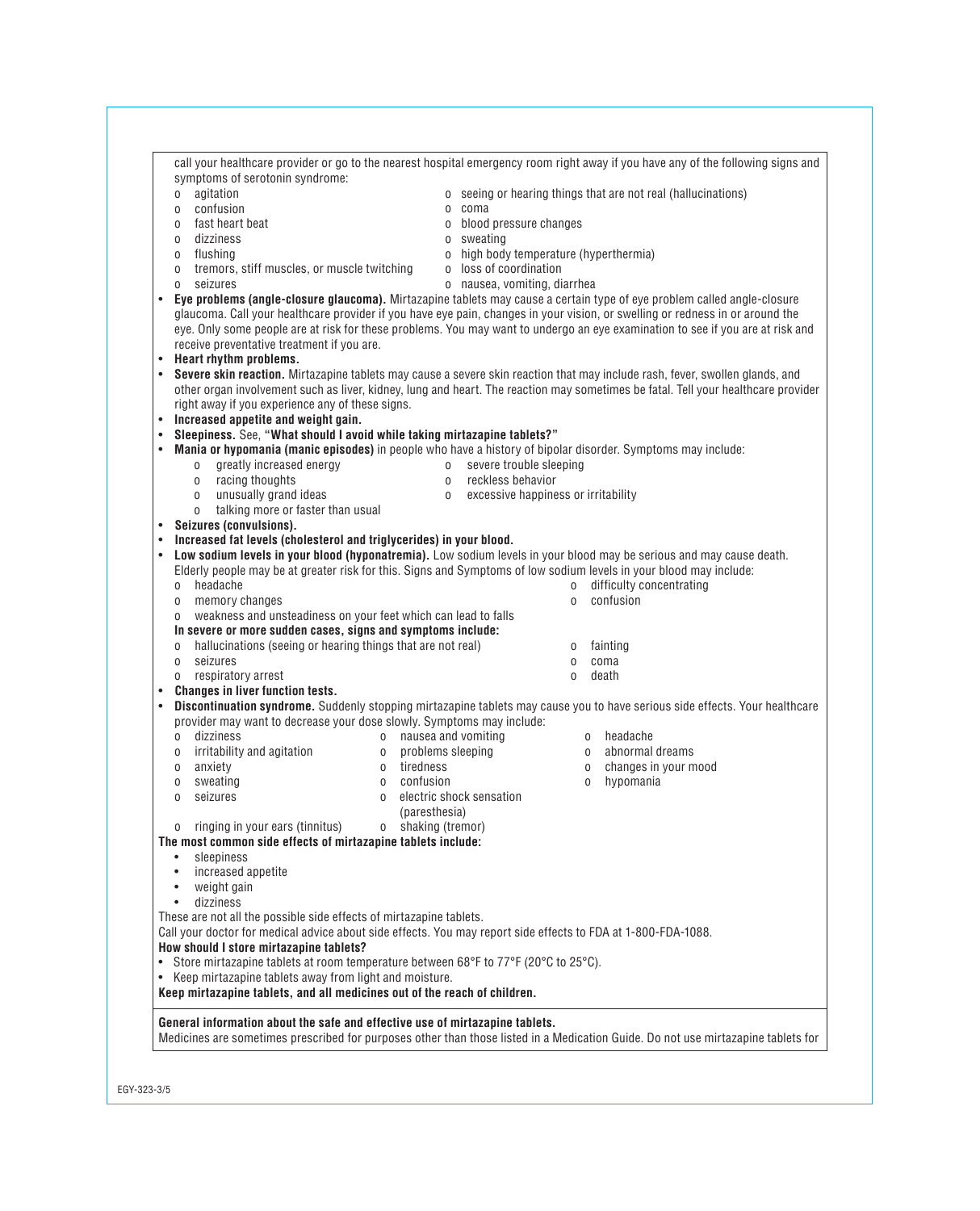|           | agitation<br>0                                                                                                                                                                                                                                                                                                                                                                                                                           |                       |                                        |              | o seeing or hearing things that are not real (hallucinations) |  |
|-----------|------------------------------------------------------------------------------------------------------------------------------------------------------------------------------------------------------------------------------------------------------------------------------------------------------------------------------------------------------------------------------------------------------------------------------------------|-----------------------|----------------------------------------|--------------|---------------------------------------------------------------|--|
|           | confusion<br>0                                                                                                                                                                                                                                                                                                                                                                                                                           |                       | o coma                                 |              |                                                               |  |
|           | fast heart beat<br>0                                                                                                                                                                                                                                                                                                                                                                                                                     |                       | o blood pressure changes               |              |                                                               |  |
|           | dizziness<br>0                                                                                                                                                                                                                                                                                                                                                                                                                           |                       | o sweating                             |              |                                                               |  |
|           | flushing<br>0                                                                                                                                                                                                                                                                                                                                                                                                                            |                       | o high body temperature (hyperthermia) |              |                                                               |  |
|           | tremors, stiff muscles, or muscle twitching<br>$\mathbf 0$                                                                                                                                                                                                                                                                                                                                                                               |                       | o loss of coordination                 |              |                                                               |  |
|           | seizures<br>0                                                                                                                                                                                                                                                                                                                                                                                                                            |                       | o nausea, vomiting, diarrhea           |              |                                                               |  |
| $\bullet$ | Eye problems (angle-closure glaucoma). Mirtazapine tablets may cause a certain type of eye problem called angle-closure<br>glaucoma. Call your healthcare provider if you have eye pain, changes in your vision, or swelling or redness in or around the<br>eye. Only some people are at risk for these problems. You may want to undergo an eye examination to see if you are at risk and<br>receive preventative treatment if you are. |                       |                                        |              |                                                               |  |
| $\bullet$ | Heart rhythm problems.                                                                                                                                                                                                                                                                                                                                                                                                                   |                       |                                        |              |                                                               |  |
| $\bullet$ | Severe skin reaction. Mirtazapine tablets may cause a severe skin reaction that may include rash, fever, swollen glands, and                                                                                                                                                                                                                                                                                                             |                       |                                        |              |                                                               |  |
|           | other organ involvement such as liver, kidney, lung and heart. The reaction may sometimes be fatal. Tell your healthcare provider                                                                                                                                                                                                                                                                                                        |                       |                                        |              |                                                               |  |
|           | right away if you experience any of these signs.                                                                                                                                                                                                                                                                                                                                                                                         |                       |                                        |              |                                                               |  |
| $\bullet$ | Increased appetite and weight gain.                                                                                                                                                                                                                                                                                                                                                                                                      |                       |                                        |              |                                                               |  |
| $\bullet$ | Sleepiness. See, "What should I avoid while taking mirtazapine tablets?"                                                                                                                                                                                                                                                                                                                                                                 |                       |                                        |              |                                                               |  |
| $\bullet$ | Mania or hypomania (manic episodes) in people who have a history of bipolar disorder. Symptoms may include:                                                                                                                                                                                                                                                                                                                              |                       |                                        |              |                                                               |  |
|           | greatly increased energy<br>0                                                                                                                                                                                                                                                                                                                                                                                                            | $\overline{0}$        | severe trouble sleeping                |              |                                                               |  |
|           | racing thoughts<br>$\mathsf{O}\xspace$                                                                                                                                                                                                                                                                                                                                                                                                   | $\mathbf 0$           | reckless behavior                      |              |                                                               |  |
|           | unusually grand ideas<br>$\mathbf 0$                                                                                                                                                                                                                                                                                                                                                                                                     | $\mathbf 0$           | excessive happiness or irritability    |              |                                                               |  |
| $\bullet$ | talking more or faster than usual<br>0<br>Seizures (convulsions).                                                                                                                                                                                                                                                                                                                                                                        |                       |                                        |              |                                                               |  |
| $\bullet$ | Increased fat levels (cholesterol and triglycerides) in your blood.                                                                                                                                                                                                                                                                                                                                                                      |                       |                                        |              |                                                               |  |
| $\bullet$ | Low sodium levels in your blood (hyponatremia). Low sodium levels in your blood may be serious and may cause death.                                                                                                                                                                                                                                                                                                                      |                       |                                        |              |                                                               |  |
|           | Elderly people may be at greater risk for this. Signs and Symptoms of low sodium levels in your blood may include:                                                                                                                                                                                                                                                                                                                       |                       |                                        |              |                                                               |  |
|           | headache<br>0                                                                                                                                                                                                                                                                                                                                                                                                                            |                       |                                        | $\mathbf{0}$ | difficulty concentrating                                      |  |
|           | memory changes<br>0                                                                                                                                                                                                                                                                                                                                                                                                                      |                       |                                        | $\Omega$     | confusion                                                     |  |
|           | weakness and unsteadiness on your feet which can lead to falls<br>0                                                                                                                                                                                                                                                                                                                                                                      |                       |                                        |              |                                                               |  |
|           | In severe or more sudden cases, signs and symptoms include:                                                                                                                                                                                                                                                                                                                                                                              |                       |                                        |              |                                                               |  |
|           | hallucinations (seeing or hearing things that are not real)<br>0                                                                                                                                                                                                                                                                                                                                                                         |                       |                                        | 0            | fainting                                                      |  |
|           | seizures<br>0                                                                                                                                                                                                                                                                                                                                                                                                                            |                       |                                        | 0            | coma                                                          |  |
|           | respiratory arrest<br>0                                                                                                                                                                                                                                                                                                                                                                                                                  |                       |                                        | $\Omega$     | death                                                         |  |
| $\bullet$ | <b>Changes in liver function tests.</b>                                                                                                                                                                                                                                                                                                                                                                                                  |                       |                                        |              |                                                               |  |
| $\bullet$ | Discontinuation syndrome. Suddenly stopping mirtazapine tablets may cause you to have serious side effects. Your healthcare                                                                                                                                                                                                                                                                                                              |                       |                                        |              |                                                               |  |
|           | provider may want to decrease your dose slowly. Symptoms may include:<br>dizziness                                                                                                                                                                                                                                                                                                                                                       | o nausea and vomiting |                                        |              | headache                                                      |  |
|           | $\overline{0}$<br>o irritability and agitation                                                                                                                                                                                                                                                                                                                                                                                           | o problems sleeping   |                                        |              | $\mathbf{0}$<br>o abnormal dreams                             |  |
|           | anxiety<br>0                                                                                                                                                                                                                                                                                                                                                                                                                             | o tiredness           |                                        |              | changes in your mood<br>0                                     |  |
|           | sweating<br>$\Omega$<br>0                                                                                                                                                                                                                                                                                                                                                                                                                | confusion             |                                        |              | hypomania<br>$\Omega$                                         |  |
|           | seizures<br>$\Omega$                                                                                                                                                                                                                                                                                                                                                                                                                     |                       | o electric shock sensation             |              |                                                               |  |
|           |                                                                                                                                                                                                                                                                                                                                                                                                                                          | (paresthesia)         |                                        |              |                                                               |  |
|           | ringing in your ears (tinnitus)<br>0                                                                                                                                                                                                                                                                                                                                                                                                     | o shaking (tremor)    |                                        |              |                                                               |  |
|           | The most common side effects of mirtazapine tablets include:                                                                                                                                                                                                                                                                                                                                                                             |                       |                                        |              |                                                               |  |
|           | sleepiness                                                                                                                                                                                                                                                                                                                                                                                                                               |                       |                                        |              |                                                               |  |
|           | increased appetite                                                                                                                                                                                                                                                                                                                                                                                                                       |                       |                                        |              |                                                               |  |
|           | weight gain<br>$\bullet$                                                                                                                                                                                                                                                                                                                                                                                                                 |                       |                                        |              |                                                               |  |
|           | dizziness<br>$\bullet$                                                                                                                                                                                                                                                                                                                                                                                                                   |                       |                                        |              |                                                               |  |
|           | These are not all the possible side effects of mirtazapine tablets.                                                                                                                                                                                                                                                                                                                                                                      |                       |                                        |              |                                                               |  |
|           | Call your doctor for medical advice about side effects. You may report side effects to FDA at 1-800-FDA-1088.                                                                                                                                                                                                                                                                                                                            |                       |                                        |              |                                                               |  |
|           | How should I store mirtazapine tablets?                                                                                                                                                                                                                                                                                                                                                                                                  |                       |                                        |              |                                                               |  |
|           | • Store mirtazapine tablets at room temperature between 68°F to 77°F (20°C to 25°C).<br>• Keep mirtazapine tablets away from light and moisture.                                                                                                                                                                                                                                                                                         |                       |                                        |              |                                                               |  |
|           | Keep mirtazapine tablets, and all medicines out of the reach of children.                                                                                                                                                                                                                                                                                                                                                                |                       |                                        |              |                                                               |  |
|           |                                                                                                                                                                                                                                                                                                                                                                                                                                          |                       |                                        |              |                                                               |  |

call your healthcare provider or go to the nearest hospital emergency room right away if you have any of the following signs and

symptoms of serotonin syndrome:

**General information about the safe and effective use of mirtazapine tablets.** 

Medicines are sometimes prescribed for purposes other than those listed in a Medication Guide. Do not use mirtazapine tablets for